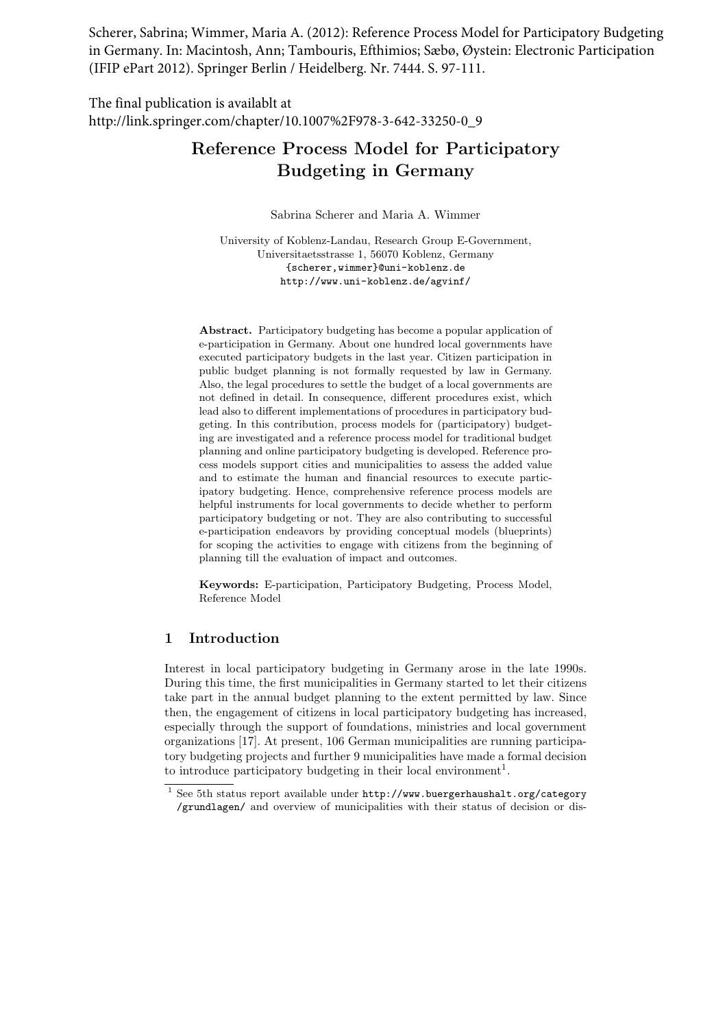Scherer, Sabrina; Wimmer, Maria A. (2012): Reference Process Model for Participatory Budgeting in Germany. In: Macintosh, Ann; Tambouris, Efthimios; Sæbø, Øystein: Electronic Participation (IFIP ePart 2012). Springer Berlin / Heidelberg. Nr. 7444. S. 97-111.

The final publication is availablt at http://link.springer.com/chapter/10.1007%2F978-3-642-33250-0\_9

# Reference Process Model for Participatory Budgeting in Germany

Sabrina Scherer and Maria A. Wimmer

University of Koblenz-Landau, Research Group E-Government, Universitaetsstrasse 1, 56070 Koblenz, Germany {scherer,wimmer}@uni-koblenz.de http://www.uni-koblenz.de/agvinf/

Abstract. Participatory budgeting has become a popular application of e-participation in Germany. About one hundred local governments have executed participatory budgets in the last year. Citizen participation in public budget planning is not formally requested by law in Germany. Also, the legal procedures to settle the budget of a local governments are not defined in detail. In consequence, different procedures exist, which lead also to different implementations of procedures in participatory budgeting. In this contribution, process models for (participatory) budgeting are investigated and a reference process model for traditional budget planning and online participatory budgeting is developed. Reference process models support cities and municipalities to assess the added value and to estimate the human and financial resources to execute participatory budgeting. Hence, comprehensive reference process models are helpful instruments for local governments to decide whether to perform participatory budgeting or not. They are also contributing to successful e-participation endeavors by providing conceptual models (blueprints) for scoping the activities to engage with citizens from the beginning of planning till the evaluation of impact and outcomes.

Keywords: E-participation, Participatory Budgeting, Process Model, Reference Model

# 1 Introduction

Interest in local participatory budgeting in Germany arose in the late 1990s. During this time, the first municipalities in Germany started to let their citizens take part in the annual budget planning to the extent permitted by law. Since then, the engagement of citizens in local participatory budgeting has increased, especially through the support of foundations, ministries and local government organizations [17]. At present, 106 German municipalities are running participatory budgeting projects and further 9 municipalities have made a formal decision to introduce participatory budgeting in their local environment<sup>1</sup>.

 $^{\rm 1}$  See 5th status report available under  ${\tt http://www.buergerhaushalt.org/category}$ /grundlagen/ and overview of municipalities with their status of decision or dis-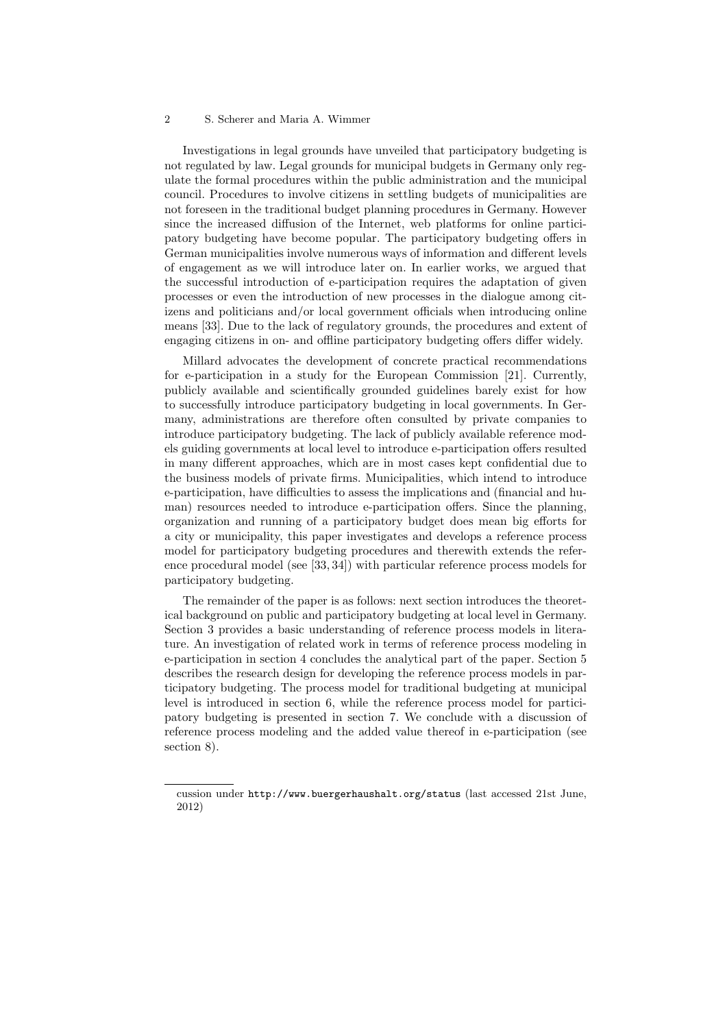Investigations in legal grounds have unveiled that participatory budgeting is not regulated by law. Legal grounds for municipal budgets in Germany only regulate the formal procedures within the public administration and the municipal council. Procedures to involve citizens in settling budgets of municipalities are not foreseen in the traditional budget planning procedures in Germany. However since the increased diffusion of the Internet, web platforms for online participatory budgeting have become popular. The participatory budgeting offers in German municipalities involve numerous ways of information and different levels of engagement as we will introduce later on. In earlier works, we argued that the successful introduction of e-participation requires the adaptation of given processes or even the introduction of new processes in the dialogue among citizens and politicians and/or local government officials when introducing online means [33]. Due to the lack of regulatory grounds, the procedures and extent of engaging citizens in on- and offline participatory budgeting offers differ widely.

Millard advocates the development of concrete practical recommendations for e-participation in a study for the European Commission [21]. Currently, publicly available and scientifically grounded guidelines barely exist for how to successfully introduce participatory budgeting in local governments. In Germany, administrations are therefore often consulted by private companies to introduce participatory budgeting. The lack of publicly available reference models guiding governments at local level to introduce e-participation offers resulted in many different approaches, which are in most cases kept confidential due to the business models of private firms. Municipalities, which intend to introduce e-participation, have difficulties to assess the implications and (financial and human) resources needed to introduce e-participation offers. Since the planning, organization and running of a participatory budget does mean big efforts for a city or municipality, this paper investigates and develops a reference process model for participatory budgeting procedures and therewith extends the reference procedural model (see [33, 34]) with particular reference process models for participatory budgeting.

The remainder of the paper is as follows: next section introduces the theoretical background on public and participatory budgeting at local level in Germany. Section 3 provides a basic understanding of reference process models in literature. An investigation of related work in terms of reference process modeling in e-participation in section 4 concludes the analytical part of the paper. Section 5 describes the research design for developing the reference process models in participatory budgeting. The process model for traditional budgeting at municipal level is introduced in section 6, while the reference process model for participatory budgeting is presented in section 7. We conclude with a discussion of reference process modeling and the added value thereof in e-participation (see section 8).

cussion under http://www.buergerhaushalt.org/status (last accessed 21st June, 2012)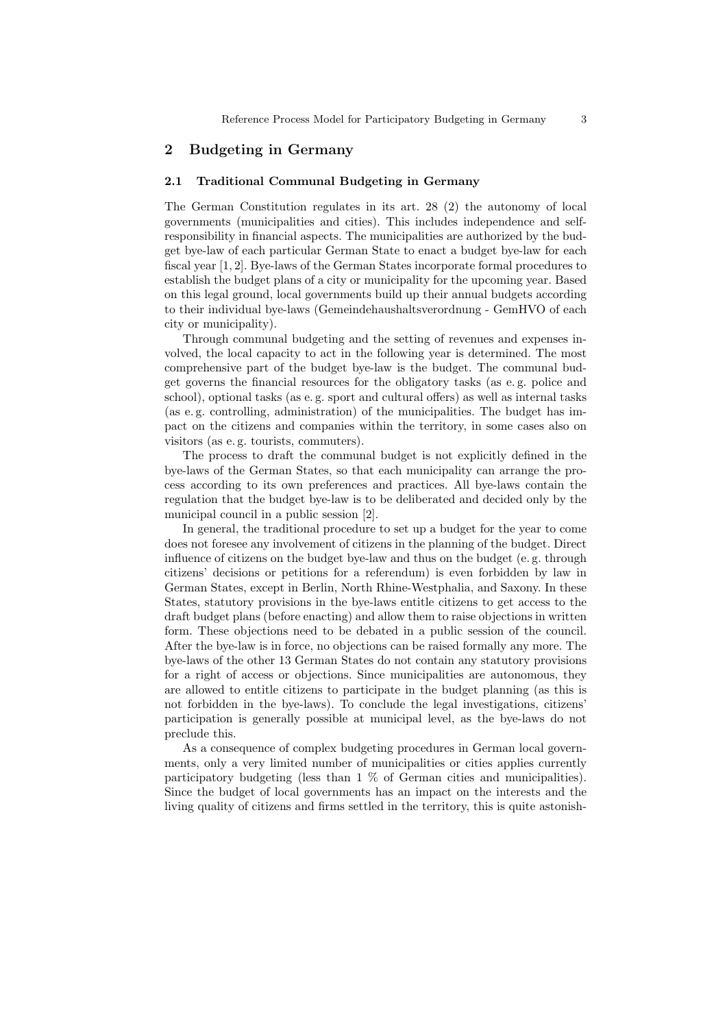# 2 Budgeting in Germany

# 2.1 Traditional Communal Budgeting in Germany

The German Constitution regulates in its art. 28 (2) the autonomy of local governments (municipalities and cities). This includes independence and selfresponsibility in financial aspects. The municipalities are authorized by the budget bye-law of each particular German State to enact a budget bye-law for each fiscal year [1, 2]. Bye-laws of the German States incorporate formal procedures to establish the budget plans of a city or municipality for the upcoming year. Based on this legal ground, local governments build up their annual budgets according to their individual bye-laws (Gemeindehaushaltsverordnung - GemHVO of each city or municipality).

Through communal budgeting and the setting of revenues and expenses involved, the local capacity to act in the following year is determined. The most comprehensive part of the budget bye-law is the budget. The communal budget governs the financial resources for the obligatory tasks (as e. g. police and school), optional tasks (as e. g. sport and cultural offers) as well as internal tasks (as e. g. controlling, administration) of the municipalities. The budget has impact on the citizens and companies within the territory, in some cases also on visitors (as e. g. tourists, commuters).

The process to draft the communal budget is not explicitly defined in the bye-laws of the German States, so that each municipality can arrange the process according to its own preferences and practices. All bye-laws contain the regulation that the budget bye-law is to be deliberated and decided only by the municipal council in a public session [2].

In general, the traditional procedure to set up a budget for the year to come does not foresee any involvement of citizens in the planning of the budget. Direct influence of citizens on the budget bye-law and thus on the budget (e. g. through citizens' decisions or petitions for a referendum) is even forbidden by law in German States, except in Berlin, North Rhine-Westphalia, and Saxony. In these States, statutory provisions in the bye-laws entitle citizens to get access to the draft budget plans (before enacting) and allow them to raise objections in written form. These objections need to be debated in a public session of the council. After the bye-law is in force, no objections can be raised formally any more. The bye-laws of the other 13 German States do not contain any statutory provisions for a right of access or objections. Since municipalities are autonomous, they are allowed to entitle citizens to participate in the budget planning (as this is not forbidden in the bye-laws). To conclude the legal investigations, citizens' participation is generally possible at municipal level, as the bye-laws do not preclude this.

As a consequence of complex budgeting procedures in German local governments, only a very limited number of municipalities or cities applies currently participatory budgeting (less than 1 % of German cities and municipalities). Since the budget of local governments has an impact on the interests and the living quality of citizens and firms settled in the territory, this is quite astonish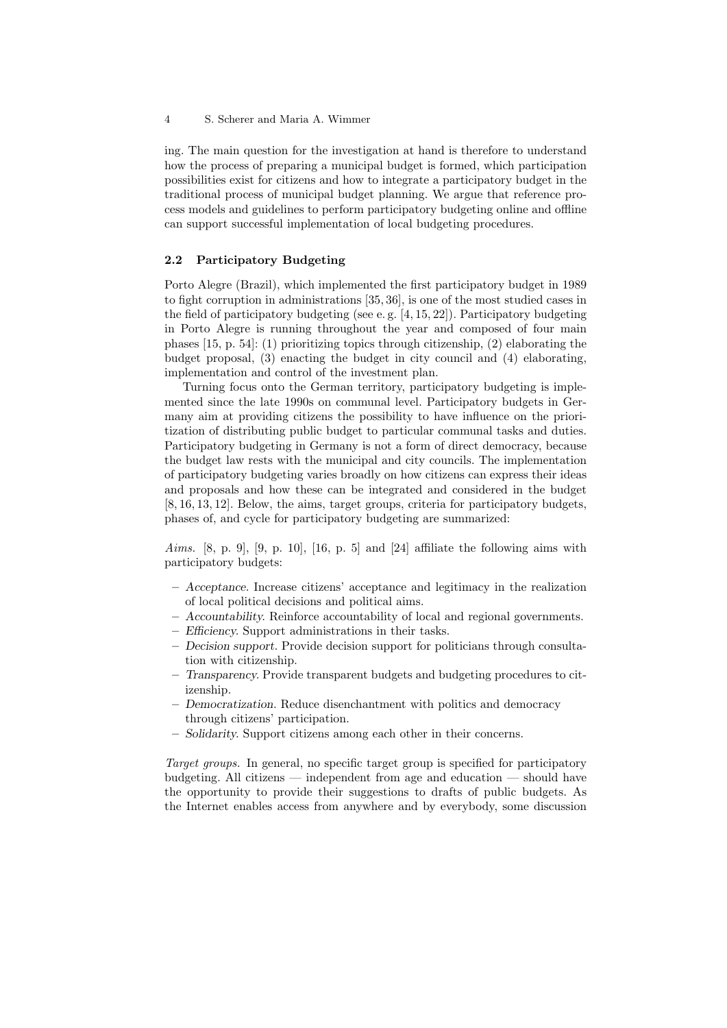ing. The main question for the investigation at hand is therefore to understand how the process of preparing a municipal budget is formed, which participation possibilities exist for citizens and how to integrate a participatory budget in the traditional process of municipal budget planning. We argue that reference process models and guidelines to perform participatory budgeting online and offline can support successful implementation of local budgeting procedures.

# 2.2 Participatory Budgeting

Porto Alegre (Brazil), which implemented the first participatory budget in 1989 to fight corruption in administrations [35, 36], is one of the most studied cases in the field of participatory budgeting (see e.g.  $[4, 15, 22]$ ). Participatory budgeting in Porto Alegre is running throughout the year and composed of four main phases [15, p. 54]: (1) prioritizing topics through citizenship, (2) elaborating the budget proposal, (3) enacting the budget in city council and (4) elaborating, implementation and control of the investment plan.

Turning focus onto the German territory, participatory budgeting is implemented since the late 1990s on communal level. Participatory budgets in Germany aim at providing citizens the possibility to have influence on the prioritization of distributing public budget to particular communal tasks and duties. Participatory budgeting in Germany is not a form of direct democracy, because the budget law rests with the municipal and city councils. The implementation of participatory budgeting varies broadly on how citizens can express their ideas and proposals and how these can be integrated and considered in the budget [8, 16, 13, 12]. Below, the aims, target groups, criteria for participatory budgets, phases of, and cycle for participatory budgeting are summarized:

Aims.  $[8, p. 9]$ ,  $[9, p. 10]$ ,  $[16, p. 5]$  and  $[24]$  affiliate the following aims with participatory budgets:

- Acceptance. Increase citizens' acceptance and legitimacy in the realization of local political decisions and political aims.
- Accountability. Reinforce accountability of local and regional governments.
- Efficiency. Support administrations in their tasks.
- Decision support. Provide decision support for politicians through consultation with citizenship.
- Transparency. Provide transparent budgets and budgeting procedures to citizenship.
- Democratization. Reduce disenchantment with politics and democracy through citizens' participation.
- Solidarity. Support citizens among each other in their concerns.

Target groups. In general, no specific target group is specified for participatory budgeting. All citizens — independent from age and education — should have the opportunity to provide their suggestions to drafts of public budgets. As the Internet enables access from anywhere and by everybody, some discussion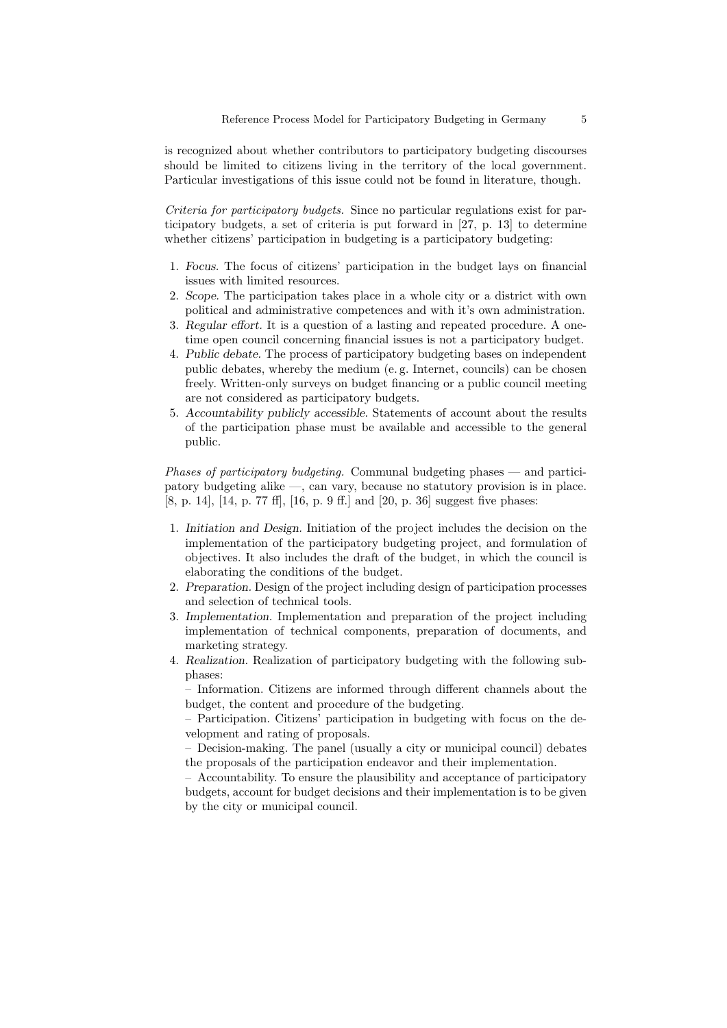is recognized about whether contributors to participatory budgeting discourses should be limited to citizens living in the territory of the local government. Particular investigations of this issue could not be found in literature, though.

Criteria for participatory budgets. Since no particular regulations exist for participatory budgets, a set of criteria is put forward in [27, p. 13] to determine whether citizens' participation in budgeting is a participatory budgeting:

- 1. Focus. The focus of citizens' participation in the budget lays on financial issues with limited resources.
- 2. Scope. The participation takes place in a whole city or a district with own political and administrative competences and with it's own administration.
- 3. Regular effort. It is a question of a lasting and repeated procedure. A onetime open council concerning financial issues is not a participatory budget.
- 4. Public debate. The process of participatory budgeting bases on independent public debates, whereby the medium (e. g. Internet, councils) can be chosen freely. Written-only surveys on budget financing or a public council meeting are not considered as participatory budgets.
- 5. Accountability publicly accessible. Statements of account about the results of the participation phase must be available and accessible to the general public.

Phases of participatory budgeting. Communal budgeting phases — and participatory budgeting alike —, can vary, because no statutory provision is in place. [8, p. 14], [14, p. 77 ff], [16, p. 9 ff.] and [20, p. 36] suggest five phases:

- 1. Initiation and Design. Initiation of the project includes the decision on the implementation of the participatory budgeting project, and formulation of objectives. It also includes the draft of the budget, in which the council is elaborating the conditions of the budget.
- 2. Preparation. Design of the project including design of participation processes and selection of technical tools.
- 3. Implementation. Implementation and preparation of the project including implementation of technical components, preparation of documents, and marketing strategy.
- 4. Realization. Realization of participatory budgeting with the following subphases:

– Information. Citizens are informed through different channels about the budget, the content and procedure of the budgeting.

– Participation. Citizens' participation in budgeting with focus on the development and rating of proposals.

– Decision-making. The panel (usually a city or municipal council) debates the proposals of the participation endeavor and their implementation.

– Accountability. To ensure the plausibility and acceptance of participatory budgets, account for budget decisions and their implementation is to be given by the city or municipal council.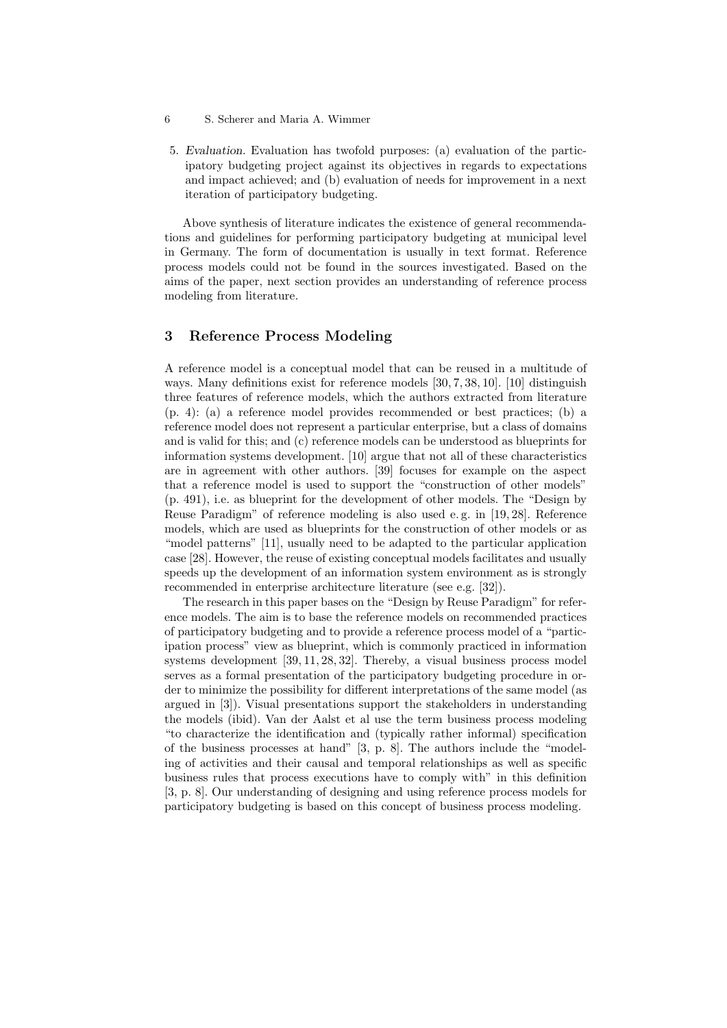- 6 S. Scherer and Maria A. Wimmer
- 5. Evaluation. Evaluation has twofold purposes: (a) evaluation of the participatory budgeting project against its objectives in regards to expectations and impact achieved; and (b) evaluation of needs for improvement in a next iteration of participatory budgeting.

Above synthesis of literature indicates the existence of general recommendations and guidelines for performing participatory budgeting at municipal level in Germany. The form of documentation is usually in text format. Reference process models could not be found in the sources investigated. Based on the aims of the paper, next section provides an understanding of reference process modeling from literature.

# 3 Reference Process Modeling

A reference model is a conceptual model that can be reused in a multitude of ways. Many definitions exist for reference models [30, 7, 38, 10]. [10] distinguish three features of reference models, which the authors extracted from literature (p. 4): (a) a reference model provides recommended or best practices; (b) a reference model does not represent a particular enterprise, but a class of domains and is valid for this; and (c) reference models can be understood as blueprints for information systems development. [10] argue that not all of these characteristics are in agreement with other authors. [39] focuses for example on the aspect that a reference model is used to support the "construction of other models" (p. 491), i.e. as blueprint for the development of other models. The "Design by Reuse Paradigm" of reference modeling is also used e. g. in [19, 28]. Reference models, which are used as blueprints for the construction of other models or as "model patterns" [11], usually need to be adapted to the particular application case [28]. However, the reuse of existing conceptual models facilitates and usually speeds up the development of an information system environment as is strongly recommended in enterprise architecture literature (see e.g. [32]).

The research in this paper bases on the "Design by Reuse Paradigm" for reference models. The aim is to base the reference models on recommended practices of participatory budgeting and to provide a reference process model of a "participation process" view as blueprint, which is commonly practiced in information systems development [39, 11, 28, 32]. Thereby, a visual business process model serves as a formal presentation of the participatory budgeting procedure in order to minimize the possibility for different interpretations of the same model (as argued in [3]). Visual presentations support the stakeholders in understanding the models (ibid). Van der Aalst et al use the term business process modeling "to characterize the identification and (typically rather informal) specification of the business processes at hand" [3, p. 8]. The authors include the "modeling of activities and their causal and temporal relationships as well as specific business rules that process executions have to comply with" in this definition [3, p. 8]. Our understanding of designing and using reference process models for participatory budgeting is based on this concept of business process modeling.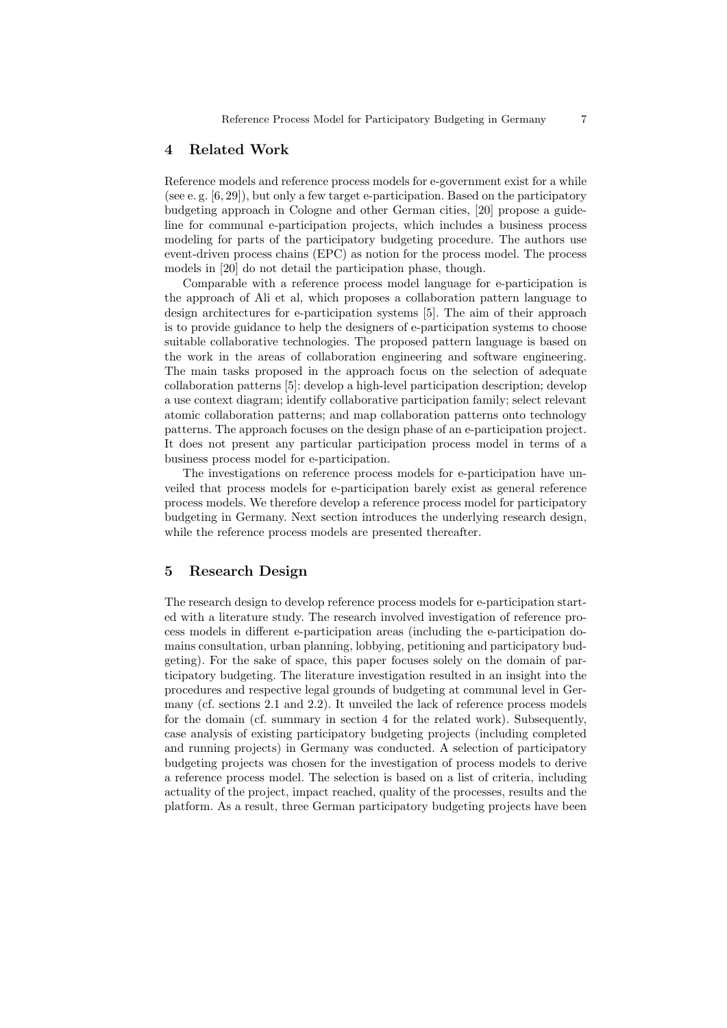## 4 Related Work

Reference models and reference process models for e-government exist for a while (see e. g. [6, 29]), but only a few target e-participation. Based on the participatory budgeting approach in Cologne and other German cities, [20] propose a guideline for communal e-participation projects, which includes a business process modeling for parts of the participatory budgeting procedure. The authors use event-driven process chains (EPC) as notion for the process model. The process models in [20] do not detail the participation phase, though.

Comparable with a reference process model language for e-participation is the approach of Ali et al, which proposes a collaboration pattern language to design architectures for e-participation systems [5]. The aim of their approach is to provide guidance to help the designers of e-participation systems to choose suitable collaborative technologies. The proposed pattern language is based on the work in the areas of collaboration engineering and software engineering. The main tasks proposed in the approach focus on the selection of adequate collaboration patterns [5]: develop a high-level participation description; develop a use context diagram; identify collaborative participation family; select relevant atomic collaboration patterns; and map collaboration patterns onto technology patterns. The approach focuses on the design phase of an e-participation project. It does not present any particular participation process model in terms of a business process model for e-participation.

The investigations on reference process models for e-participation have unveiled that process models for e-participation barely exist as general reference process models. We therefore develop a reference process model for participatory budgeting in Germany. Next section introduces the underlying research design, while the reference process models are presented thereafter.

## 5 Research Design

The research design to develop reference process models for e-participation started with a literature study. The research involved investigation of reference process models in different e-participation areas (including the e-participation domains consultation, urban planning, lobbying, petitioning and participatory budgeting). For the sake of space, this paper focuses solely on the domain of participatory budgeting. The literature investigation resulted in an insight into the procedures and respective legal grounds of budgeting at communal level in Germany (cf. sections 2.1 and 2.2). It unveiled the lack of reference process models for the domain (cf. summary in section 4 for the related work). Subsequently, case analysis of existing participatory budgeting projects (including completed and running projects) in Germany was conducted. A selection of participatory budgeting projects was chosen for the investigation of process models to derive a reference process model. The selection is based on a list of criteria, including actuality of the project, impact reached, quality of the processes, results and the platform. As a result, three German participatory budgeting projects have been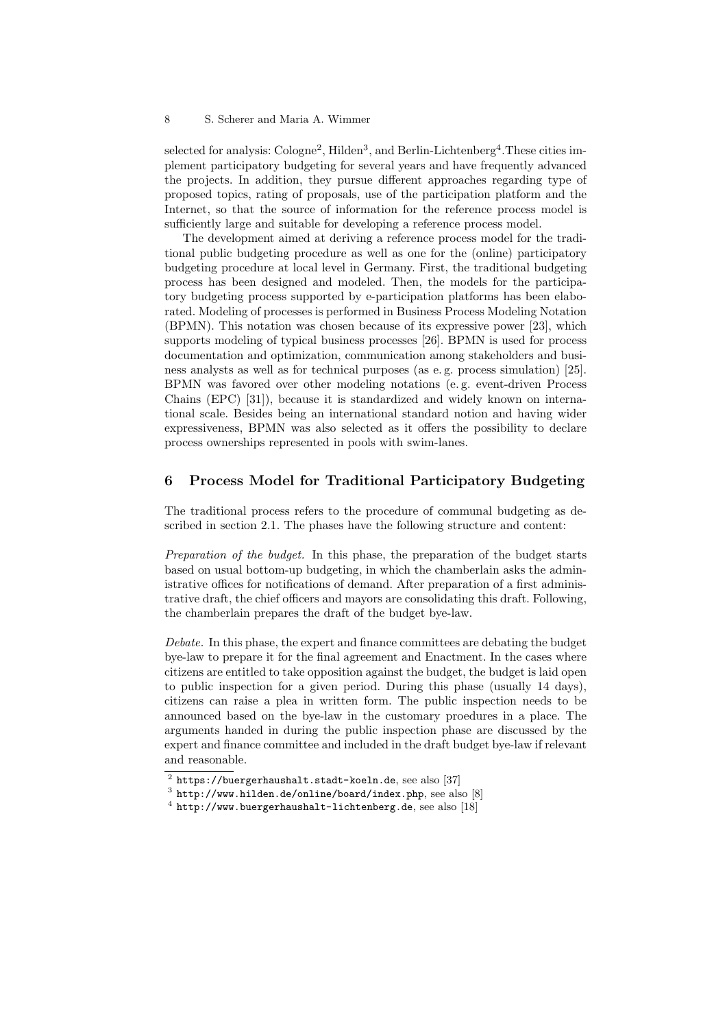selected for analysis: Cologne<sup>2</sup>, Hilden<sup>3</sup>, and Berlin-Lichtenberg<sup>4</sup>. These cities implement participatory budgeting for several years and have frequently advanced the projects. In addition, they pursue different approaches regarding type of proposed topics, rating of proposals, use of the participation platform and the Internet, so that the source of information for the reference process model is sufficiently large and suitable for developing a reference process model.

The development aimed at deriving a reference process model for the traditional public budgeting procedure as well as one for the (online) participatory budgeting procedure at local level in Germany. First, the traditional budgeting process has been designed and modeled. Then, the models for the participatory budgeting process supported by e-participation platforms has been elaborated. Modeling of processes is performed in Business Process Modeling Notation (BPMN). This notation was chosen because of its expressive power [23], which supports modeling of typical business processes [26]. BPMN is used for process documentation and optimization, communication among stakeholders and business analysts as well as for technical purposes (as e. g. process simulation) [25]. BPMN was favored over other modeling notations (e. g. event-driven Process Chains (EPC) [31]), because it is standardized and widely known on international scale. Besides being an international standard notion and having wider expressiveness, BPMN was also selected as it offers the possibility to declare process ownerships represented in pools with swim-lanes.

# 6 Process Model for Traditional Participatory Budgeting

The traditional process refers to the procedure of communal budgeting as described in section 2.1. The phases have the following structure and content:

Preparation of the budget. In this phase, the preparation of the budget starts based on usual bottom-up budgeting, in which the chamberlain asks the administrative offices for notifications of demand. After preparation of a first administrative draft, the chief officers and mayors are consolidating this draft. Following, the chamberlain prepares the draft of the budget bye-law.

Debate. In this phase, the expert and finance committees are debating the budget bye-law to prepare it for the final agreement and Enactment. In the cases where citizens are entitled to take opposition against the budget, the budget is laid open to public inspection for a given period. During this phase (usually 14 days), citizens can raise a plea in written form. The public inspection needs to be announced based on the bye-law in the customary proedures in a place. The arguments handed in during the public inspection phase are discussed by the expert and finance committee and included in the draft budget bye-law if relevant and reasonable.

 $^2$  https://buergerhaushalt.stadt-koeln.de, see also  $\left[ 37\right]$ 

 $^3$  http://www.hilden.de/online/board/index.php, see also  $[8]$ 

 $^4$  http://www.buergerhaushalt-lichtenberg.de, see also  $\left[ 18\right]$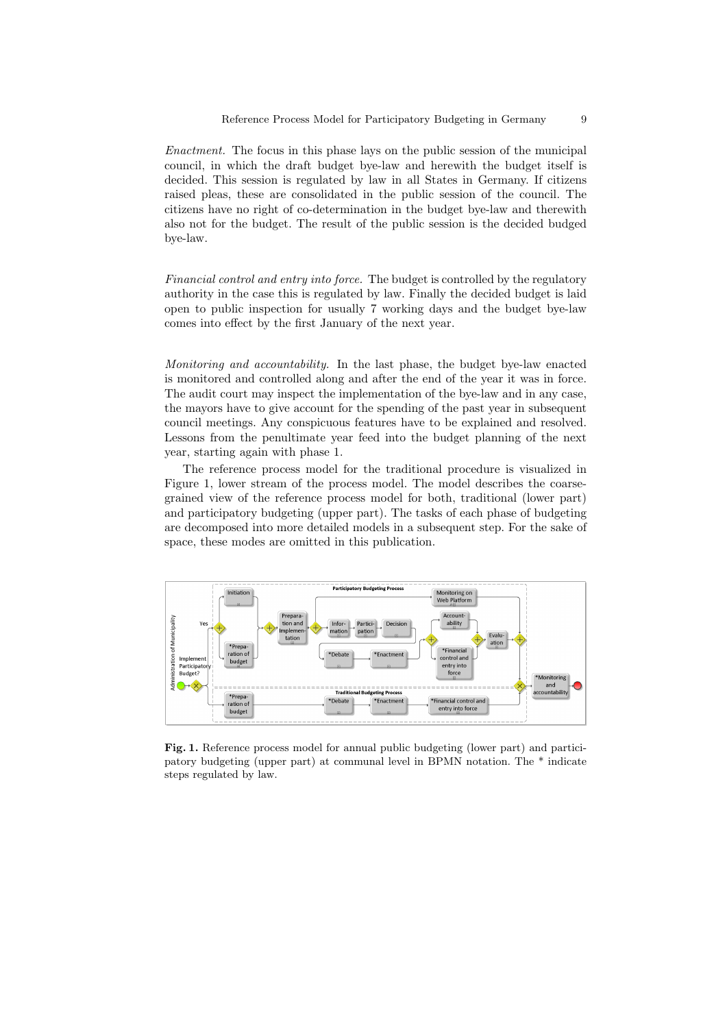Enactment. The focus in this phase lays on the public session of the municipal council, in which the draft budget bye-law and herewith the budget itself is decided. This session is regulated by law in all States in Germany. If citizens raised pleas, these are consolidated in the public session of the council. The citizens have no right of co-determination in the budget bye-law and therewith also not for the budget. The result of the public session is the decided budged bye-law.

Financial control and entry into force. The budget is controlled by the regulatory authority in the case this is regulated by law. Finally the decided budget is laid open to public inspection for usually 7 working days and the budget bye-law comes into effect by the first January of the next year.

Monitoring and accountability. In the last phase, the budget bye-law enacted is monitored and controlled along and after the end of the year it was in force. The audit court may inspect the implementation of the bye-law and in any case, the mayors have to give account for the spending of the past year in subsequent council meetings. Any conspicuous features have to be explained and resolved. Lessons from the penultimate year feed into the budget planning of the next year, starting again with phase 1.

The reference process model for the traditional procedure is visualized in Figure 1, lower stream of the process model. The model describes the coarsegrained view of the reference process model for both, traditional (lower part) and participatory budgeting (upper part). The tasks of each phase of budgeting are decomposed into more detailed models in a subsequent step. For the sake of space, these modes are omitted in this publication.



Fig. 1. Reference process model for annual public budgeting (lower part) and participatory budgeting (upper part) at communal level in BPMN notation. The \* indicate steps regulated by law.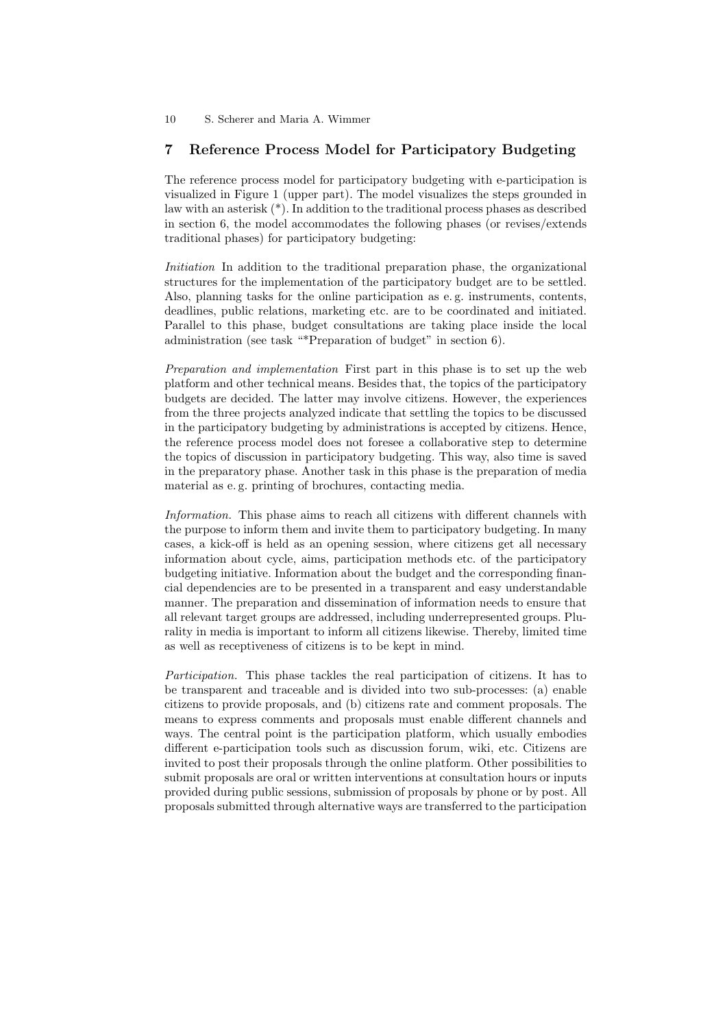# 7 Reference Process Model for Participatory Budgeting

The reference process model for participatory budgeting with e-participation is visualized in Figure 1 (upper part). The model visualizes the steps grounded in law with an asterisk (\*). In addition to the traditional process phases as described in section 6, the model accommodates the following phases (or revises/extends traditional phases) for participatory budgeting:

Initiation In addition to the traditional preparation phase, the organizational structures for the implementation of the participatory budget are to be settled. Also, planning tasks for the online participation as e. g. instruments, contents, deadlines, public relations, marketing etc. are to be coordinated and initiated. Parallel to this phase, budget consultations are taking place inside the local administration (see task "\*Preparation of budget" in section 6).

Preparation and implementation First part in this phase is to set up the web platform and other technical means. Besides that, the topics of the participatory budgets are decided. The latter may involve citizens. However, the experiences from the three projects analyzed indicate that settling the topics to be discussed in the participatory budgeting by administrations is accepted by citizens. Hence, the reference process model does not foresee a collaborative step to determine the topics of discussion in participatory budgeting. This way, also time is saved in the preparatory phase. Another task in this phase is the preparation of media material as e. g. printing of brochures, contacting media.

Information. This phase aims to reach all citizens with different channels with the purpose to inform them and invite them to participatory budgeting. In many cases, a kick-off is held as an opening session, where citizens get all necessary information about cycle, aims, participation methods etc. of the participatory budgeting initiative. Information about the budget and the corresponding financial dependencies are to be presented in a transparent and easy understandable manner. The preparation and dissemination of information needs to ensure that all relevant target groups are addressed, including underrepresented groups. Plurality in media is important to inform all citizens likewise. Thereby, limited time as well as receptiveness of citizens is to be kept in mind.

Participation. This phase tackles the real participation of citizens. It has to be transparent and traceable and is divided into two sub-processes: (a) enable citizens to provide proposals, and (b) citizens rate and comment proposals. The means to express comments and proposals must enable different channels and ways. The central point is the participation platform, which usually embodies different e-participation tools such as discussion forum, wiki, etc. Citizens are invited to post their proposals through the online platform. Other possibilities to submit proposals are oral or written interventions at consultation hours or inputs provided during public sessions, submission of proposals by phone or by post. All proposals submitted through alternative ways are transferred to the participation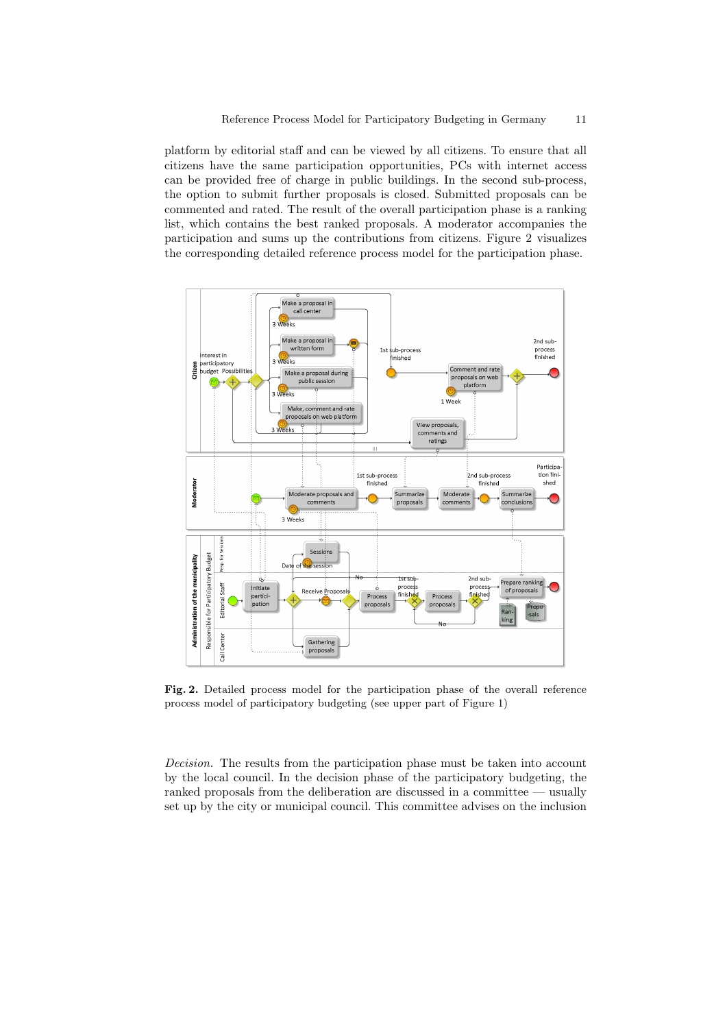platform by editorial staff and can be viewed by all citizens. To ensure that all citizens have the same participation opportunities, PCs with internet access can be provided free of charge in public buildings. In the second sub-process, the option to submit further proposals is closed. Submitted proposals can be commented and rated. The result of the overall participation phase is a ranking list, which contains the best ranked proposals. A moderator accompanies the participation and sums up the contributions from citizens. Figure 2 visualizes the corresponding detailed reference process model for the participation phase.



Fig. 2. Detailed process model for the participation phase of the overall reference process model of participatory budgeting (see upper part of Figure 1)

Decision. The results from the participation phase must be taken into account by the local council. In the decision phase of the participatory budgeting, the ranked proposals from the deliberation are discussed in a committee — usually set up by the city or municipal council. This committee advises on the inclusion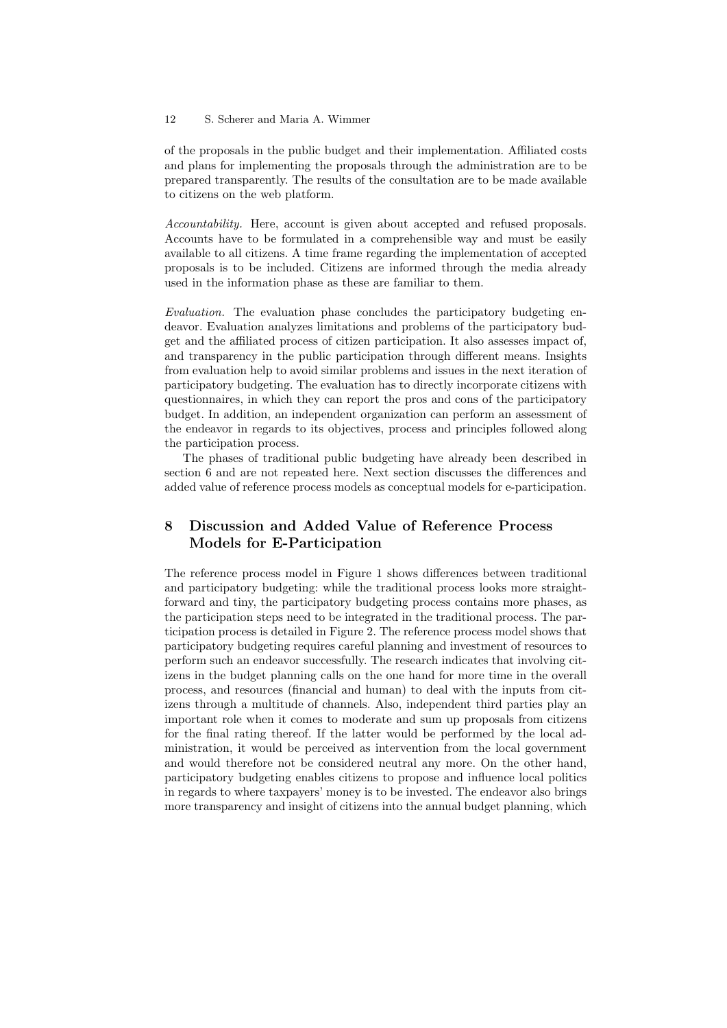of the proposals in the public budget and their implementation. Affiliated costs and plans for implementing the proposals through the administration are to be prepared transparently. The results of the consultation are to be made available to citizens on the web platform.

Accountability. Here, account is given about accepted and refused proposals. Accounts have to be formulated in a comprehensible way and must be easily available to all citizens. A time frame regarding the implementation of accepted proposals is to be included. Citizens are informed through the media already used in the information phase as these are familiar to them.

Evaluation. The evaluation phase concludes the participatory budgeting endeavor. Evaluation analyzes limitations and problems of the participatory budget and the affiliated process of citizen participation. It also assesses impact of, and transparency in the public participation through different means. Insights from evaluation help to avoid similar problems and issues in the next iteration of participatory budgeting. The evaluation has to directly incorporate citizens with questionnaires, in which they can report the pros and cons of the participatory budget. In addition, an independent organization can perform an assessment of the endeavor in regards to its objectives, process and principles followed along the participation process.

The phases of traditional public budgeting have already been described in section 6 and are not repeated here. Next section discusses the differences and added value of reference process models as conceptual models for e-participation.

# 8 Discussion and Added Value of Reference Process Models for E-Participation

The reference process model in Figure 1 shows differences between traditional and participatory budgeting: while the traditional process looks more straightforward and tiny, the participatory budgeting process contains more phases, as the participation steps need to be integrated in the traditional process. The participation process is detailed in Figure 2. The reference process model shows that participatory budgeting requires careful planning and investment of resources to perform such an endeavor successfully. The research indicates that involving citizens in the budget planning calls on the one hand for more time in the overall process, and resources (financial and human) to deal with the inputs from citizens through a multitude of channels. Also, independent third parties play an important role when it comes to moderate and sum up proposals from citizens for the final rating thereof. If the latter would be performed by the local administration, it would be perceived as intervention from the local government and would therefore not be considered neutral any more. On the other hand, participatory budgeting enables citizens to propose and influence local politics in regards to where taxpayers' money is to be invested. The endeavor also brings more transparency and insight of citizens into the annual budget planning, which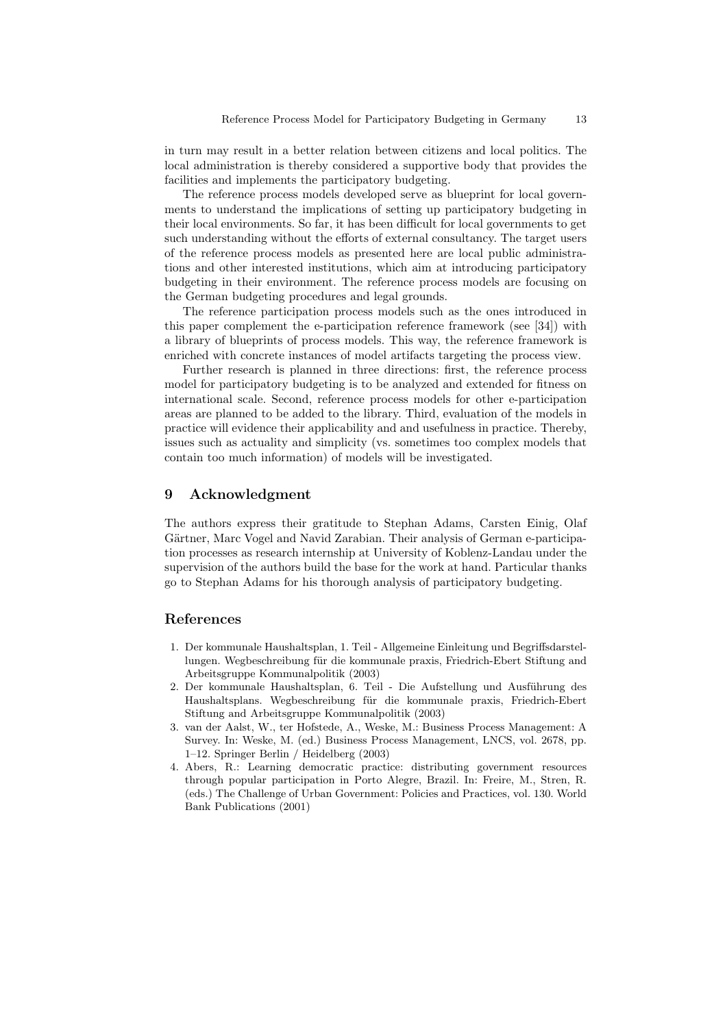in turn may result in a better relation between citizens and local politics. The local administration is thereby considered a supportive body that provides the facilities and implements the participatory budgeting.

The reference process models developed serve as blueprint for local governments to understand the implications of setting up participatory budgeting in their local environments. So far, it has been difficult for local governments to get such understanding without the efforts of external consultancy. The target users of the reference process models as presented here are local public administrations and other interested institutions, which aim at introducing participatory budgeting in their environment. The reference process models are focusing on the German budgeting procedures and legal grounds.

The reference participation process models such as the ones introduced in this paper complement the e-participation reference framework (see [34]) with a library of blueprints of process models. This way, the reference framework is enriched with concrete instances of model artifacts targeting the process view.

Further research is planned in three directions: first, the reference process model for participatory budgeting is to be analyzed and extended for fitness on international scale. Second, reference process models for other e-participation areas are planned to be added to the library. Third, evaluation of the models in practice will evidence their applicability and and usefulness in practice. Thereby, issues such as actuality and simplicity (vs. sometimes too complex models that contain too much information) of models will be investigated.

## 9 Acknowledgment

The authors express their gratitude to Stephan Adams, Carsten Einig, Olaf Gärtner, Marc Vogel and Navid Zarabian. Their analysis of German e-participation processes as research internship at University of Koblenz-Landau under the supervision of the authors build the base for the work at hand. Particular thanks go to Stephan Adams for his thorough analysis of participatory budgeting.

# References

- 1. Der kommunale Haushaltsplan, 1. Teil Allgemeine Einleitung und Begriffsdarstellungen. Wegbeschreibung für die kommunale praxis, Friedrich-Ebert Stiftung and Arbeitsgruppe Kommunalpolitik (2003)
- 2. Der kommunale Haushaltsplan, 6. Teil Die Aufstellung und Ausführung des Haushaltsplans. Wegbeschreibung für die kommunale praxis, Friedrich-Ebert Stiftung and Arbeitsgruppe Kommunalpolitik (2003)
- 3. van der Aalst, W., ter Hofstede, A., Weske, M.: Business Process Management: A Survey. In: Weske, M. (ed.) Business Process Management, LNCS, vol. 2678, pp. 1–12. Springer Berlin / Heidelberg (2003)
- 4. Abers, R.: Learning democratic practice: distributing government resources through popular participation in Porto Alegre, Brazil. In: Freire, M., Stren, R. (eds.) The Challenge of Urban Government: Policies and Practices, vol. 130. World Bank Publications (2001)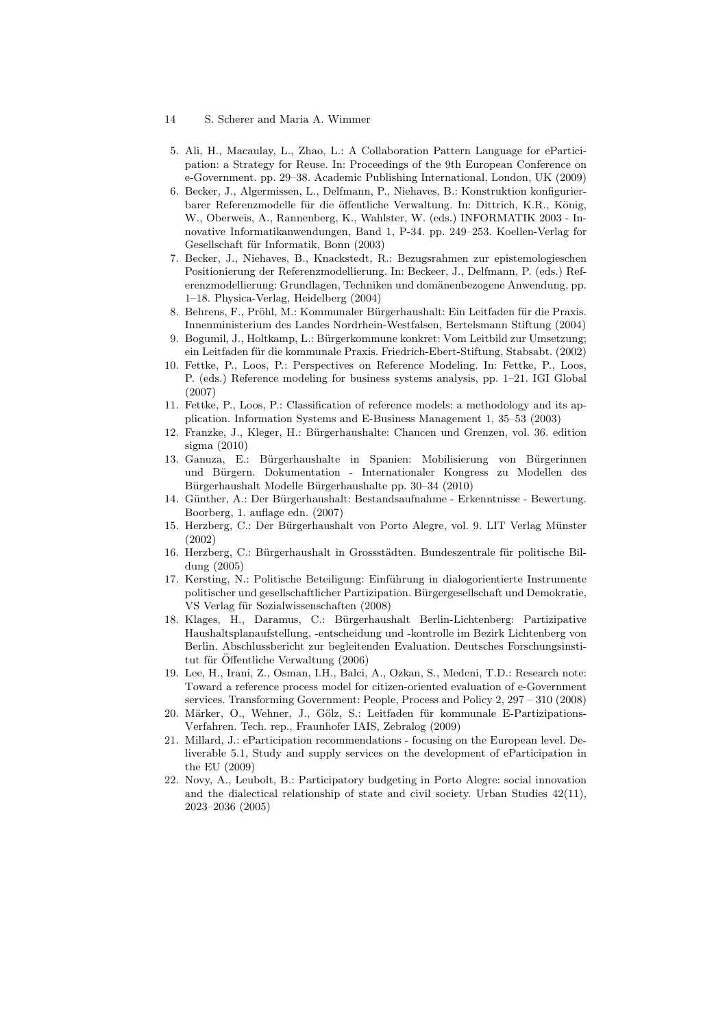- 5. Ali, H., Macaulay, L., Zhao, L.: A Collaboration Pattern Language for eParticipation: a Strategy for Reuse. In: Proceedings of the 9th European Conference on e-Government. pp. 29–38. Academic Publishing International, London, UK (2009)
- 6. Becker, J., Algermissen, L., Delfmann, P., Niehaves, B.: Konstruktion konfigurierbarer Referenzmodelle für die öffentliche Verwaltung. In: Dittrich, K.R., König, W., Oberweis, A., Rannenberg, K., Wahlster, W. (eds.) INFORMATIK 2003 - Innovative Informatikanwendungen, Band 1, P-34. pp. 249–253. Koellen-Verlag for Gesellschaft für Informatik, Bonn (2003)
- 7. Becker, J., Niehaves, B., Knackstedt, R.: Bezugsrahmen zur epistemologieschen Positionierung der Referenzmodellierung. In: Beckeer, J., Delfmann, P. (eds.) Referenzmodellierung: Grundlagen, Techniken und domänenbezogene Anwendung, pp. 1–18. Physica-Verlag, Heidelberg (2004)
- 8. Behrens, F., Pröhl, M.: Kommunaler Bürgerhaushalt: Ein Leitfaden für die Praxis. Innenministerium des Landes Nordrhein-Westfalsen, Bertelsmann Stiftung (2004)
- 9. Bogumil, J., Holtkamp, L.: Bürgerkommune konkret: Vom Leitbild zur Umsetzung; ein Leitfaden für die kommunale Praxis. Friedrich-Ebert-Stiftung, Stabsabt. (2002)
- 10. Fettke, P., Loos, P.: Perspectives on Reference Modeling. In: Fettke, P., Loos, P. (eds.) Reference modeling for business systems analysis, pp. 1–21. IGI Global (2007)
- 11. Fettke, P., Loos, P.: Classification of reference models: a methodology and its application. Information Systems and E-Business Management 1, 35–53 (2003)
- 12. Franzke, J., Kleger, H.: Bürgerhaushalte: Chancen und Grenzen, vol. 36. edition sigma (2010)
- 13. Ganuza, E.: Bürgerhaushalte in Spanien: Mobilisierung von Bürgerinnen und Bürgern. Dokumentation - Internationaler Kongress zu Modellen des Bürgerhaushalt Modelle Bürgerhaushalte pp. 30–34 (2010)
- 14. Günther, A.: Der Bürgerhaushalt: Bestandsaufnahme Erkenntnisse Bewertung. Boorberg, 1. auflage edn. (2007)
- 15. Herzberg, C.: Der Bürgerhaushalt von Porto Alegre, vol. 9. LIT Verlag Münster (2002)
- 16. Herzberg, C.: Bürgerhaushalt in Grossstädten. Bundeszentrale für politische Bildung (2005)
- 17. Kersting, N.: Politische Beteiligung: Einführung in dialogorientierte Instrumente politischer und gesellschaftlicher Partizipation. Bürgergesellschaft und Demokratie, VS Verlag für Sozialwissenschaften (2008)
- 18. Klages, H., Daramus, C.: B¨urgerhaushalt Berlin-Lichtenberg: Partizipative Haushaltsplanaufstellung, -entscheidung und -kontrolle im Bezirk Lichtenberg von Berlin. Abschlussbericht zur begleitenden Evaluation. Deutsches Forschungsinstitut für Öffentliche Verwaltung (2006)
- 19. Lee, H., Irani, Z., Osman, I.H., Balci, A., Ozkan, S., Medeni, T.D.: Research note: Toward a reference process model for citizen-oriented evaluation of e-Government services. Transforming Government: People, Process and Policy 2, 297 – 310 (2008)
- 20. Märker, O., Wehner, J., Gölz, S.: Leitfaden für kommunale E-Partizipations-Verfahren. Tech. rep., Fraunhofer IAIS, Zebralog (2009)
- 21. Millard, J.: eParticipation recommendations focusing on the European level. Deliverable 5.1, Study and supply services on the development of eParticipation in the EU (2009)
- 22. Novy, A., Leubolt, B.: Participatory budgeting in Porto Alegre: social innovation and the dialectical relationship of state and civil society. Urban Studies 42(11), 2023–2036 (2005)